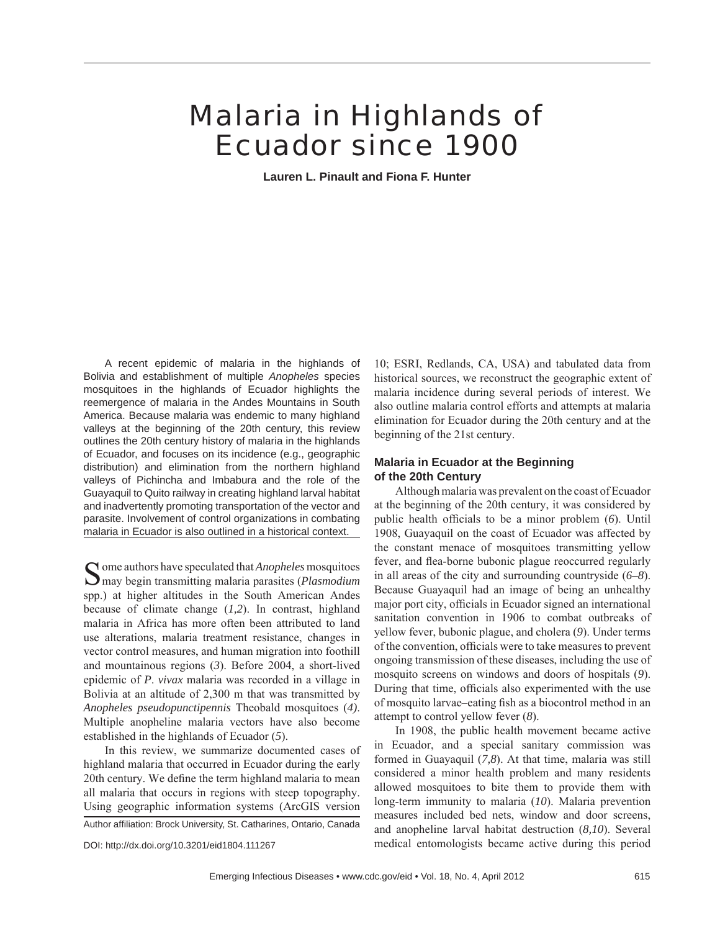# Malaria in Highlands of Ecuador since 1900

**Lauren L. Pinault and Fiona F. Hunter**

A recent epidemic of malaria in the highlands of Bolivia and establishment of multiple *Anopheles* species mosquitoes in the highlands of Ecuador highlights the reemergence of malaria in the Andes Mountains in South America. Because malaria was endemic to many highland valleys at the beginning of the 20th century, this review outlines the 20th century history of malaria in the highlands of Ecuador, and focuses on its incidence (e.g., geographic distribution) and elimination from the northern highland valleys of Pichincha and Imbabura and the role of the Guayaquil to Quito railway in creating highland larval habitat and inadvertently promoting transportation of the vector and parasite. Involvement of control organizations in combating malaria in Ecuador is also outlined in a historical context.

 $\bigcap$  ome authors have speculated that *Anopheles* mosquitoes may begin transmitting malaria parasites (*Plasmodium* spp.) at higher altitudes in the South American Andes because of climate change (*1,2*). In contrast, highland malaria in Africa has more often been attributed to land use alterations, malaria treatment resistance, changes in vector control measures, and human migration into foothill and mountainous regions (*3*). Before 2004, a short-lived epidemic of *P*. *vivax* malaria was recorded in a village in Bolivia at an altitude of 2,300 m that was transmitted by *Anopheles pseudopunctipennis* Theobald mosquitoes (*4)*. Multiple anopheline malaria vectors have also become established in the highlands of Ecuador (*5*).

In this review, we summarize documented cases of highland malaria that occurred in Ecuador during the early 20th century. We define the term highland malaria to mean all malaria that occurs in regions with steep topography. Using geographic information systems (ArcGIS version

Author affiliation: Brock University, St. Catharines, Ontario, Canada

DOI: http://dx.doi.org/10.3201/eid1804.111267

10; ESRI, Redlands, CA, USA) and tabulated data from historical sources, we reconstruct the geographic extent of malaria incidence during several periods of interest. We also outline malaria control efforts and attempts at malaria elimination for Ecuador during the 20th century and at the beginning of the 21st century.

## **Malaria in Ecuador at the Beginning of the 20th Century**

Although malaria was prevalent on the coast of Ecuador at the beginning of the 20th century, it was considered by public health officials to be a minor problem (6). Until 1908, Guayaquil on the coast of Ecuador was affected by the constant menace of mosquitoes transmitting yellow fever, and flea-borne bubonic plague reoccurred regularly in all areas of the city and surrounding countryside (*6–8*). Because Guayaquil had an image of being an unhealthy major port city, officials in Ecuador signed an international sanitation convention in 1906 to combat outbreaks of yellow fever, bubonic plague, and cholera (*9*). Under terms of the convention, officials were to take measures to prevent ongoing transmission of these diseases, including the use of mosquito screens on windows and doors of hospitals (*9*). During that time, officials also experimented with the use of mosquito larvae–eating fish as a biocontrol method in an attempt to control yellow fever (*8*).

In 1908, the public health movement became active in Ecuador, and a special sanitary commission was formed in Guayaquil (*7,8*). At that time, malaria was still considered a minor health problem and many residents allowed mosquitoes to bite them to provide them with long-term immunity to malaria (*10*). Malaria prevention measures included bed nets, window and door screens, and anopheline larval habitat destruction (*8,10*). Several medical entomologists became active during this period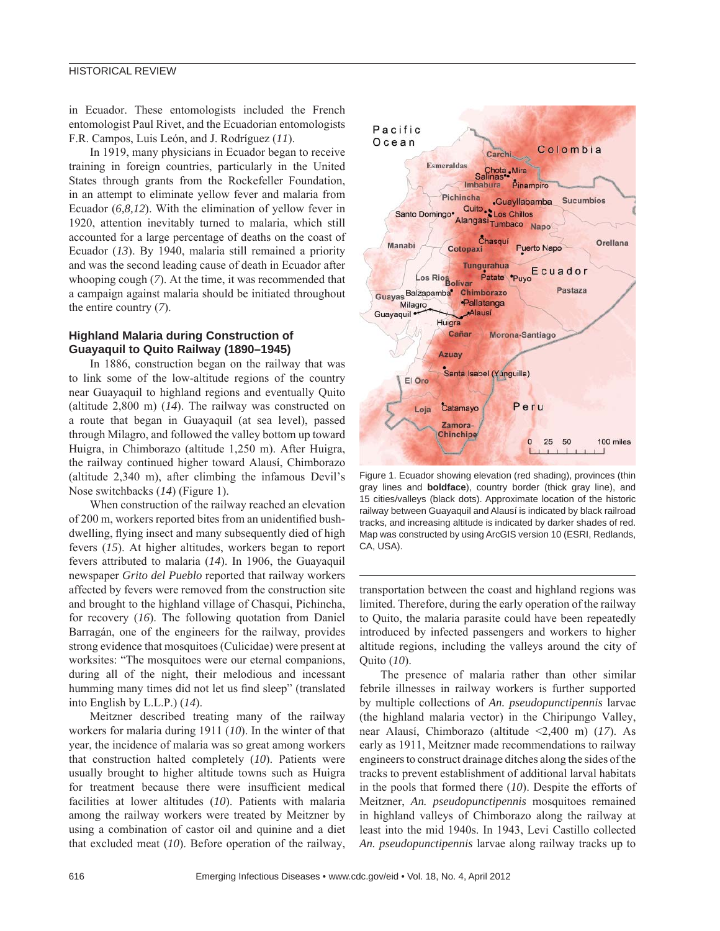in Ecuador. These entomologists included the French entomologist Paul Rivet, and the Ecuadorian entomologists F.R. Campos, Luis León, and J. Rodríguez (*11*).

In 1919, many physicians in Ecuador began to receive training in foreign countries, particularly in the United States through grants from the Rockefeller Foundation, in an attempt to eliminate yellow fever and malaria from Ecuador (*6,8,12*). With the elimination of yellow fever in 1920, attention inevitably turned to malaria, which still accounted for a large percentage of deaths on the coast of Ecuador (*13*). By 1940, malaria still remained a priority and was the second leading cause of death in Ecuador after whooping cough (*7*). At the time, it was recommended that a campaign against malaria should be initiated throughout the entire country (*7*).

# **Highland Malaria during Construction of Guayaquil to Quito Railway (1890–1945)**

In 1886, construction began on the railway that was to link some of the low-altitude regions of the country near Guayaquil to highland regions and eventually Quito (altitude 2,800 m) (*14*). The railway was constructed on a route that began in Guayaquil (at sea level), passed through Milagro, and followed the valley bottom up toward Huigra, in Chimborazo (altitude 1,250 m). After Huigra, the railway continued higher toward Alausí, Chimborazo (altitude 2,340 m), after climbing the infamous Devil's Nose switchbacks (*14*) (Figure 1).

When construction of the railway reached an elevation of 200 m, workers reported bites from an unidentified bushdwelling, flying insect and many subsequently died of high fevers (*15*). At higher altitudes, workers began to report fevers attributed to malaria (*14*). In 1906, the Guayaquil newspaper *Grito del Pueblo* reported that railway workers affected by fevers were removed from the construction site and brought to the highland village of Chasqui, Pichincha, for recovery (*16*). The following quotation from Daniel Barragán, one of the engineers for the railway, provides strong evidence that mosquitoes (Culicidae) were present at worksites: "The mosquitoes were our eternal companions, during all of the night, their melodious and incessant humming many times did not let us find sleep" (translated into English by L.L.P.) (*14*).

Meitzner described treating many of the railway workers for malaria during 1911 (*10*). In the winter of that year, the incidence of malaria was so great among workers that construction halted completely (*10*). Patients were usually brought to higher altitude towns such as Huigra for treatment because there were insufficient medical facilities at lower altitudes (*10*). Patients with malaria among the railway workers were treated by Meitzner by using a combination of castor oil and quinine and a diet that excluded meat (*10*). Before operation of the railway,



Figure 1. Ecuador showing elevation (red shading), provinces (thin gray lines and **boldface**), country border (thick gray line), and 15 cities/valleys (black dots). Approximate location of the historic railway between Guayaquil and Alausí is indicated by black railroad tracks, and increasing altitude is indicated by darker shades of red. Map was constructed by using ArcGIS version 10 (ESRI, Redlands, CA, USA).

transportation between the coast and highland regions was limited. Therefore, during the early operation of the railway to Quito, the malaria parasite could have been repeatedly introduced by infected passengers and workers to higher altitude regions, including the valleys around the city of Quito (*10*).

The presence of malaria rather than other similar febrile illnesses in railway workers is further supported by multiple collections of *An. pseudopunctipennis* larvae (the highland malaria vector) in the Chiripungo Valley, near Alausí, Chimborazo (altitude <2,400 m) (*17*). As early as 1911, Meitzner made recommendations to railway engineers to construct drainage ditches along the sides of the tracks to prevent establishment of additional larval habitats in the pools that formed there (*10*). Despite the efforts of Meitzner, *An. pseudopunctipennis* mosquitoes remained in highland valleys of Chimborazo along the railway at least into the mid 1940s. In 1943, Levi Castillo collected *An. pseudopunctipennis* larvae along railway tracks up to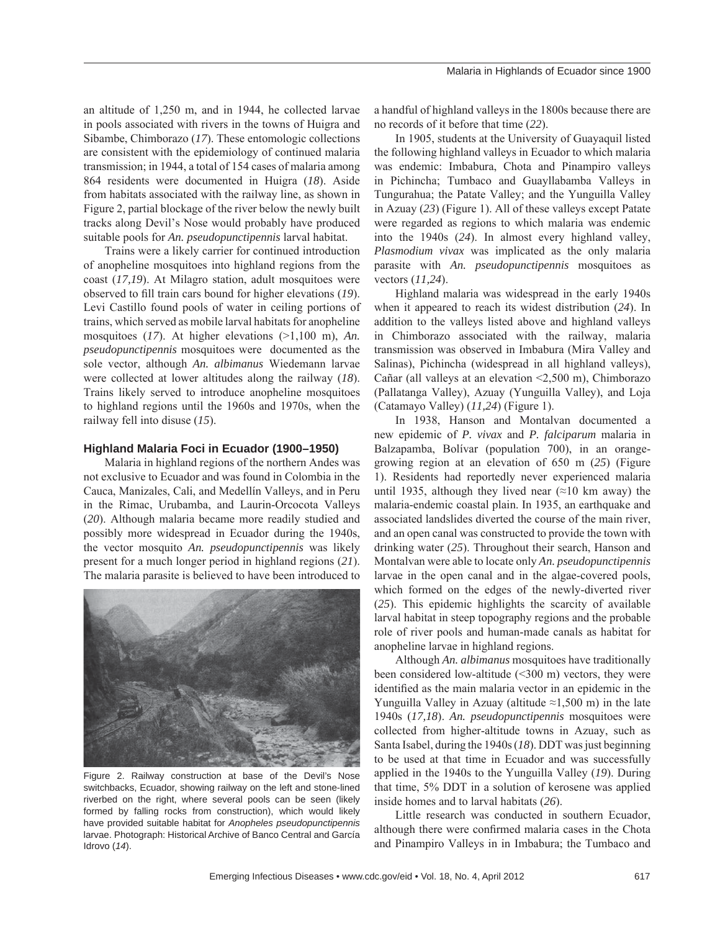an altitude of 1,250 m, and in 1944, he collected larvae in pools associated with rivers in the towns of Huigra and Sibambe, Chimborazo (*17*). These entomologic collections are consistent with the epidemiology of continued malaria transmission; in 1944, a total of 154 cases of malaria among 864 residents were documented in Huigra (*18*). Aside from habitats associated with the railway line, as shown in Figure 2, partial blockage of the river below the newly built tracks along Devil's Nose would probably have produced suitable pools for *An. pseudopunctipennis* larval habitat.

Trains were a likely carrier for continued introduction of anopheline mosquitoes into highland regions from the coast (*17,19*). At Milagro station, adult mosquitoes were observed to fill train cars bound for higher elevations (19). Levi Castillo found pools of water in ceiling portions of trains, which served as mobile larval habitats for anopheline mosquitoes (*17*). At higher elevations (>1,100 m), *An. pseudopunctipennis* mosquitoes were documented as the sole vector, although *An. albimanus* Wiedemann larvae were collected at lower altitudes along the railway (*18*). Trains likely served to introduce anopheline mosquitoes to highland regions until the 1960s and 1970s, when the railway fell into disuse (*15*).

#### **Highland Malaria Foci in Ecuador (1900–1950)**

Malaria in highland regions of the northern Andes was not exclusive to Ecuador and was found in Colombia in the Cauca, Manizales, Cali, and Medellín Valleys, and in Peru in the Rimac, Urubamba, and Laurin-Orcocota Valleys (*20*). Although malaria became more readily studied and possibly more widespread in Ecuador during the 1940s, the vector mosquito *An. pseudopunctipennis* was likely present for a much longer period in highland regions (*21*). The malaria parasite is believed to have been introduced to



Figure 2. Railway construction at base of the Devil's Nose switchbacks, Ecuador, showing railway on the left and stone-lined riverbed on the right, where several pools can be seen (likely formed by falling rocks from construction), which would likely have provided suitable habitat for *Anopheles pseudopunctipennis* larvae. Photograph: Historical Archive of Banco Central and García Idrovo (*14*).

a handful of highland valleys in the 1800s because there are no records of it before that time (*22*).

In 1905, students at the University of Guayaquil listed the following highland valleys in Ecuador to which malaria was endemic: Imbabura, Chota and Pinampiro valleys in Pichincha; Tumbaco and Guayllabamba Valleys in Tungurahua; the Patate Valley; and the Yunguilla Valley in Azuay (*23*) (Figure 1). All of these valleys except Patate were regarded as regions to which malaria was endemic into the 1940s (*24*). In almost every highland valley, *Plasmodium vivax* was implicated as the only malaria parasite with *An. pseudopunctipennis* mosquitoes as vectors (*11,24*).

Highland malaria was widespread in the early 1940s when it appeared to reach its widest distribution (*24*). In addition to the valleys listed above and highland valleys in Chimborazo associated with the railway, malaria transmission was observed in Imbabura (Mira Valley and Salinas), Pichincha (widespread in all highland valleys), Cañar (all valleys at an elevation <2,500 m), Chimborazo (Pallatanga Valley), Azuay (Yunguilla Valley), and Loja (Catamayo Valley) (*11,24*) (Figure 1).

In 1938, Hanson and Montalvan documented a new epidemic of *P. vivax* and *P. falciparum* malaria in Balzapamba, Bolívar (population 700), in an orangegrowing region at an elevation of 650 m (*25*) (Figure 1). Residents had reportedly never experienced malaria until 1935, although they lived near  $(\approx 10 \text{ km}$  away) the malaria-endemic coastal plain. In 1935, an earthquake and associated landslides diverted the course of the main river, and an open canal was constructed to provide the town with drinking water (*25*). Throughout their search, Hanson and Montalvan were able to locate only *An. pseudopunctipennis* larvae in the open canal and in the algae-covered pools, which formed on the edges of the newly-diverted river (*25*). This epidemic highlights the scarcity of available larval habitat in steep topography regions and the probable role of river pools and human-made canals as habitat for anopheline larvae in highland regions.

Although *An. albimanus* mosquitoes have traditionally been considered low-altitude (<300 m) vectors, they were identified as the main malaria vector in an epidemic in the Yunguilla Valley in Azuay (altitude  $\approx$ 1,500 m) in the late 1940s (*17,18*). *An. pseudopunctipennis* mosquitoes were collected from higher-altitude towns in Azuay, such as Santa Isabel, during the 1940s (*18*). DDT was just beginning to be used at that time in Ecuador and was successfully applied in the 1940s to the Yunguilla Valley (*19*). During that time, 5% DDT in a solution of kerosene was applied inside homes and to larval habitats (*26*).

Little research was conducted in southern Ecuador, although there were confirmed malaria cases in the Chota and Pinampiro Valleys in in Imbabura; the Tumbaco and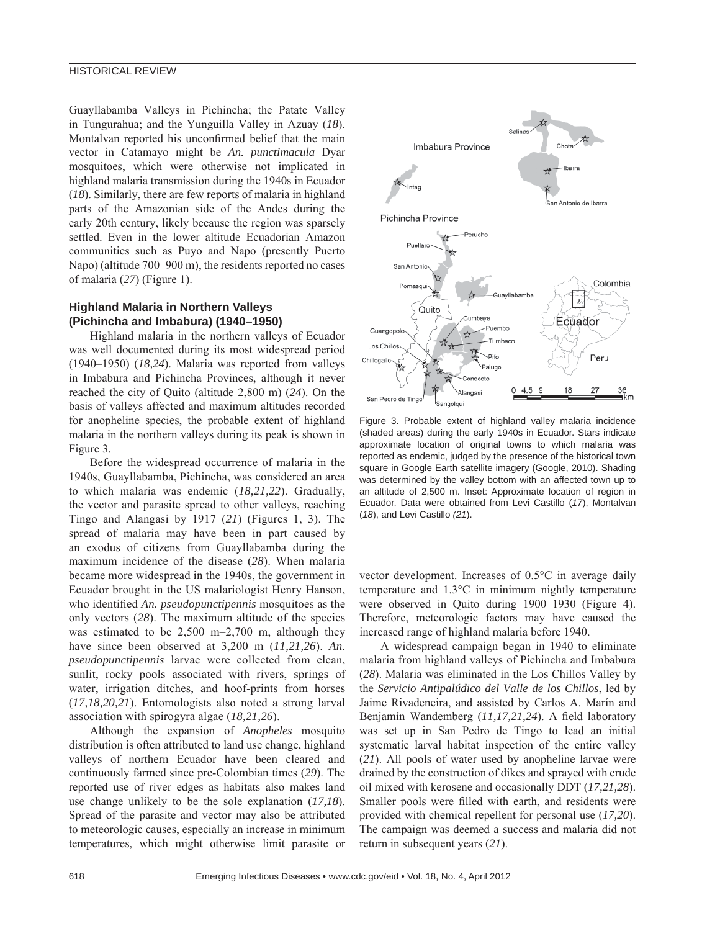Guayllabamba Valleys in Pichincha; the Patate Valley in Tungurahua; and the Yunguilla Valley in Azuay (*18*). Montalvan reported his unconfirmed belief that the main vector in Catamayo might be *An. punctimacula* Dyar mosquitoes, which were otherwise not implicated in highland malaria transmission during the 1940s in Ecuador (*18*). Similarly, there are few reports of malaria in highland parts of the Amazonian side of the Andes during the early 20th century, likely because the region was sparsely settled. Even in the lower altitude Ecuadorian Amazon communities such as Puyo and Napo (presently Puerto Napo) (altitude 700–900 m), the residents reported no cases of malaria (*27*) (Figure 1).

## **Highland Malaria in Northern Valleys (Pichincha and Imbabura) (1940–1950)**

Highland malaria in the northern valleys of Ecuador was well documented during its most widespread period (1940–1950) (*18,24*). Malaria was reported from valleys in Imbabura and Pichincha Provinces, although it never reached the city of Quito (altitude 2,800 m) (*24*). On the basis of valleys affected and maximum altitudes recorded for anopheline species, the probable extent of highland malaria in the northern valleys during its peak is shown in Figure 3.

Before the widespread occurrence of malaria in the 1940s, Guayllabamba, Pichincha, was considered an area to which malaria was endemic (*18,21,22*). Gradually, the vector and parasite spread to other valleys, reaching Tingo and Alangasi by 1917 (*21*) (Figures 1, 3). The spread of malaria may have been in part caused by an exodus of citizens from Guayllabamba during the maximum incidence of the disease (*28*). When malaria became more widespread in the 1940s, the government in Ecuador brought in the US malariologist Henry Hanson, who identified *An. pseudopunctipennis* mosquitoes as the only vectors (*28*). The maximum altitude of the species was estimated to be 2,500 m–2,700 m, although they have since been observed at 3,200 m (*11,21,26*). *An. pseudopunctipennis* larvae were collected from clean, sunlit, rocky pools associated with rivers, springs of water, irrigation ditches, and hoof-prints from horses (*17,18,20,21*). Entomologists also noted a strong larval association with spirogyra algae (*18,21,26*).

Although the expansion of *Anopheles* mosquito distribution is often attributed to land use change, highland valleys of northern Ecuador have been cleared and continuously farmed since pre-Colombian times (*29*). The reported use of river edges as habitats also makes land use change unlikely to be the sole explanation (*17,18*). Spread of the parasite and vector may also be attributed to meteorologic causes, especially an increase in minimum temperatures, which might otherwise limit parasite or



Figure 3. Probable extent of highland valley malaria incidence (shaded areas) during the early 1940s in Ecuador. Stars indicate approximate location of original towns to which malaria was reported as endemic, judged by the presence of the historical town square in Google Earth satellite imagery (Google, 2010). Shading was determined by the valley bottom with an affected town up to an altitude of 2,500 m. Inset: Approximate location of region in Ecuador. Data were obtained from Levi Castillo (*17*), Montalvan (*18*), and Levi Castillo *(21*).

vector development. Increases of 0.5°C in average daily temperature and 1.3°C in minimum nightly temperature were observed in Quito during 1900–1930 (Figure 4). Therefore, meteorologic factors may have caused the increased range of highland malaria before 1940.

A widespread campaign began in 1940 to eliminate malaria from highland valleys of Pichincha and Imbabura (*28*). Malaria was eliminated in the Los Chillos Valley by the *Servicio Antipalúdico del Valle de los Chillos*, led by Jaime Rivadeneira, and assisted by Carlos A. Marín and Benjamín Wandemberg (11,17,21,24). A field laboratory was set up in San Pedro de Tingo to lead an initial systematic larval habitat inspection of the entire valley (*21*). All pools of water used by anopheline larvae were drained by the construction of dikes and sprayed with crude oil mixed with kerosene and occasionally DDT (*17,21,28*). Smaller pools were filled with earth, and residents were provided with chemical repellent for personal use (*17,20*). The campaign was deemed a success and malaria did not return in subsequent years (*21*).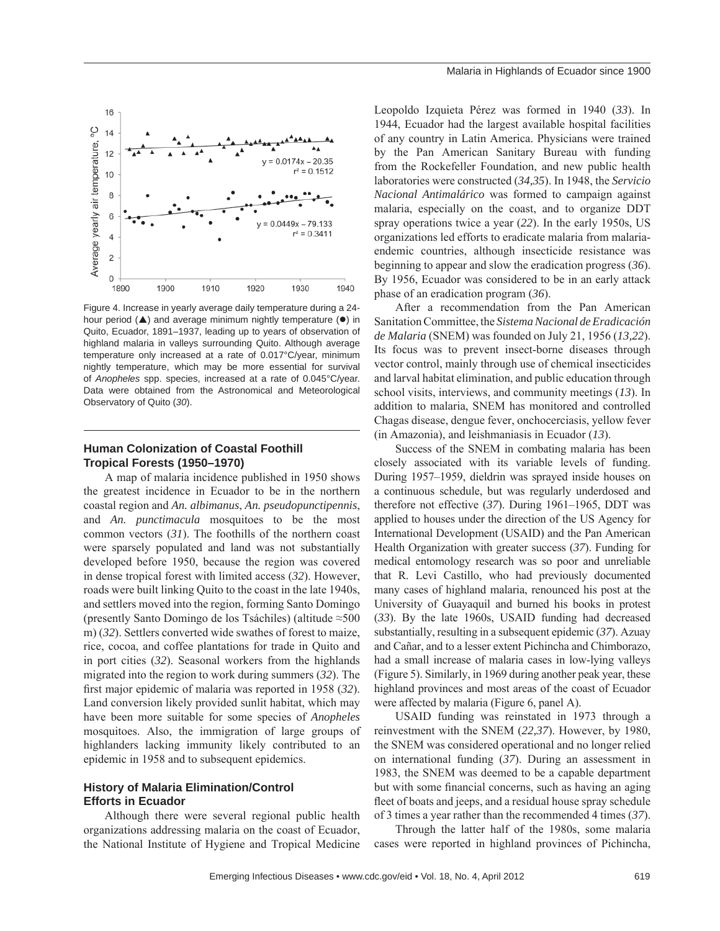

Figure 4. Increase in yearly average daily temperature during a 24 hour period  $(A)$  and average minimum nightly temperature  $(•)$  in Quito, Ecuador, 1891–1937, leading up to years of observation of highland malaria in valleys surrounding Quito. Although average temperature only increased at a rate of 0.017°C/year, minimum nightly temperature, which may be more essential for survival of *Anopheles* spp. species, increased at a rate of 0.045°C/year. Data were obtained from the Astronomical and Meteorological Observatory of Quito (*30*).

#### **Human Colonization of Coastal Foothill Tropical Forests (1950–1970)**

A map of malaria incidence published in 1950 shows the greatest incidence in Ecuador to be in the northern coastal region and *An. albimanus*, *An. pseudopunctipennis*, and *An. punctimacula* mosquitoes to be the most common vectors (*31*). The foothills of the northern coast were sparsely populated and land was not substantially developed before 1950, because the region was covered in dense tropical forest with limited access (*32*). However, roads were built linking Quito to the coast in the late 1940s, and settlers moved into the region, forming Santo Domingo (presently Santo Domingo de los Tsáchiles) (altitude ≈500 m) (*32*). Settlers converted wide swathes of forest to maize, rice, cocoa, and coffee plantations for trade in Quito and in port cities (*32*). Seasonal workers from the highlands migrated into the region to work during summers (*32*). The first major epidemic of malaria was reported in 1958 (32). Land conversion likely provided sunlit habitat, which may have been more suitable for some species of *Anopheles* mosquitoes. Also, the immigration of large groups of highlanders lacking immunity likely contributed to an epidemic in 1958 and to subsequent epidemics.

# **History of Malaria Elimination/Control Efforts in Ecuador**

Although there were several regional public health organizations addressing malaria on the coast of Ecuador, the National Institute of Hygiene and Tropical Medicine Leopoldo Izquieta Pérez was formed in 1940 (*33*). In 1944, Ecuador had the largest available hospital facilities of any country in Latin America. Physicians were trained by the Pan American Sanitary Bureau with funding from the Rockefeller Foundation, and new public health laboratories were constructed (*34,35*). In 1948, the *Servicio Nacional Antimalárico* was formed to campaign against malaria, especially on the coast, and to organize DDT spray operations twice a year (*22*). In the early 1950s, US organizations led efforts to eradicate malaria from malariaendemic countries, although insecticide resistance was beginning to appear and slow the eradication progress (*36*). By 1956, Ecuador was considered to be in an early attack phase of an eradication program (*36*).

After a recommendation from the Pan American Sanitation Committee, the *Sistema Nacional de Eradicación de Malaria* (SNEM) was founded on July 21, 1956 (*13,22*). Its focus was to prevent insect-borne diseases through vector control, mainly through use of chemical insecticides and larval habitat elimination, and public education through school visits, interviews, and community meetings (*13*). In addition to malaria, SNEM has monitored and controlled Chagas disease, dengue fever, onchocerciasis, yellow fever (in Amazonia), and leishmaniasis in Ecuador (*13*).

Success of the SNEM in combating malaria has been closely associated with its variable levels of funding. During 1957–1959, dieldrin was sprayed inside houses on a continuous schedule, but was regularly underdosed and therefore not effective (*37*). During 1961–1965, DDT was applied to houses under the direction of the US Agency for International Development (USAID) and the Pan American Health Organization with greater success (*37*). Funding for medical entomology research was so poor and unreliable that R. Levi Castillo, who had previously documented many cases of highland malaria, renounced his post at the University of Guayaquil and burned his books in protest (*33*). By the late 1960s, USAID funding had decreased substantially, resulting in a subsequent epidemic (*37*). Azuay and Cañar, and to a lesser extent Pichincha and Chimborazo, had a small increase of malaria cases in low-lying valleys (Figure 5). Similarly, in 1969 during another peak year, these highland provinces and most areas of the coast of Ecuador were affected by malaria (Figure 6, panel A).

USAID funding was reinstated in 1973 through a reinvestment with the SNEM (*22,37*). However, by 1980, the SNEM was considered operational and no longer relied on international funding (*37*). During an assessment in 1983, the SNEM was deemed to be a capable department but with some financial concerns, such as having an aging fleet of boats and jeeps, and a residual house spray schedule of 3 times a year rather than the recommended 4 times (*37*).

Through the latter half of the 1980s, some malaria cases were reported in highland provinces of Pichincha,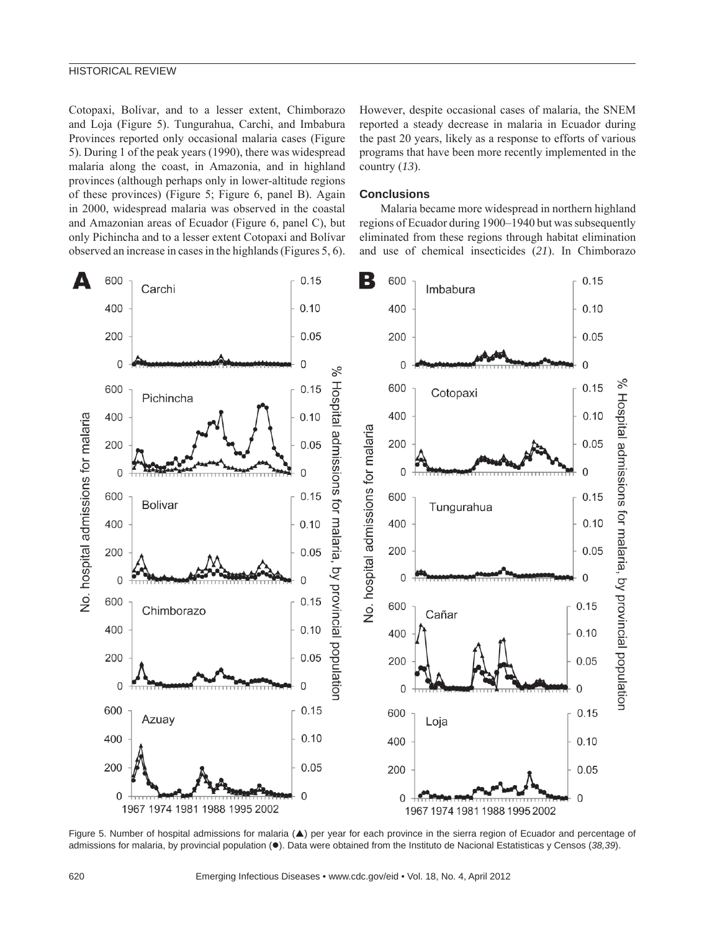Cotopaxi, Bolívar, and to a lesser extent, Chimborazo and Loja (Figure 5). Tungurahua, Carchi, and Imbabura Provinces reported only occasional malaria cases (Figure 5). During 1 of the peak years (1990), there was widespread malaria along the coast, in Amazonia, and in highland provinces (although perhaps only in lower-altitude regions of these provinces) (Figure 5; Figure 6, panel B). Again in 2000, widespread malaria was observed in the coastal and Amazonian areas of Ecuador (Figure 6, panel C), but only Pichincha and to a lesser extent Cotopaxi and Bolívar observed an increase in cases in the highlands (Figures 5, 6). However, despite occasional cases of malaria, the SNEM reported a steady decrease in malaria in Ecuador during the past 20 years, likely as a response to efforts of various programs that have been more recently implemented in the country (*13*).

### **Conclusions**

Malaria became more widespread in northern highland regions of Ecuador during 1900–1940 but was subsequently eliminated from these regions through habitat elimination and use of chemical insecticides (*21*). In Chimborazo



Figure 5. Number of hospital admissions for malaria (A) per year for each province in the sierra region of Ecuador and percentage of admissions for malaria, by provincial population (.). Data were obtained from the Instituto de Nacional Estatisticas y Censos (38,39).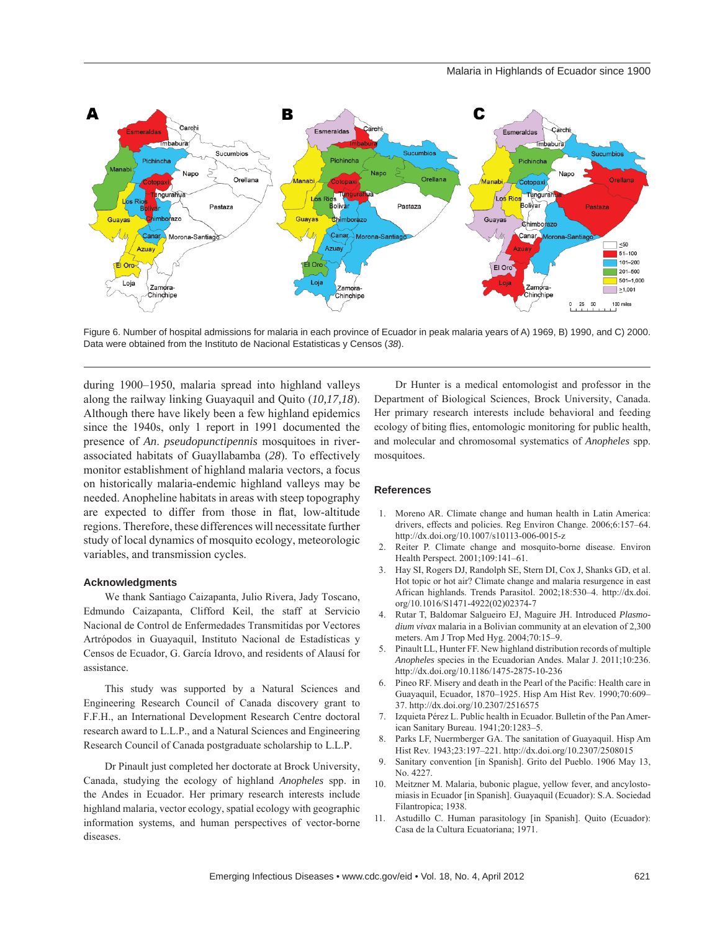

Figure 6. Number of hospital admissions for malaria in each province of Ecuador in peak malaria years of A) 1969, B) 1990, and C) 2000. Data were obtained from the Instituto de Nacional Estatisticas y Censos (*38*).

during 1900–1950, malaria spread into highland valleys along the railway linking Guayaquil and Quito (*10,17,18*). Although there have likely been a few highland epidemics since the 1940s, only 1 report in 1991 documented the presence of *An*. *pseudopunctipennis* mosquitoes in riverassociated habitats of Guayllabamba (*28*). To effectively monitor establishment of highland malaria vectors, a focus on historically malaria-endemic highland valleys may be needed. Anopheline habitats in areas with steep topography are expected to differ from those in flat, low-altitude regions. Therefore, these differences will necessitate further study of local dynamics of mosquito ecology, meteorologic variables, and transmission cycles.

#### **Acknowledgments**

We thank Santiago Caizapanta, Julio Rivera, Jady Toscano, Edmundo Caizapanta, Clifford Keil, the staff at Servicio Nacional de Control de Enfermedades Transmitidas por Vectores Artrópodos in Guayaquil, Instituto Nacional de Estadísticas y Censos de Ecuador, G. García Idrovo, and residents of Alausí for assistance.

This study was supported by a Natural Sciences and Engineering Research Council of Canada discovery grant to F.F.H., an International Development Research Centre doctoral research award to L.L.P., and a Natural Sciences and Engineering Research Council of Canada postgraduate scholarship to L.L.P.

Dr Pinault just completed her doctorate at Brock University, Canada, studying the ecology of highland *Anopheles* spp. in the Andes in Ecuador. Her primary research interests include highland malaria, vector ecology, spatial ecology with geographic information systems, and human perspectives of vector-borne diseases.

Dr Hunter is a medical entomologist and professor in the Department of Biological Sciences, Brock University, Canada. Her primary research interests include behavioral and feeding ecology of biting flies, entomologic monitoring for public health, and molecular and chromosomal systematics of *Anopheles* spp. mosquitoes.

#### **References**

- 1. Moreno AR. Climate change and human health in Latin America: drivers, effects and policies. Reg Environ Change. 2006;6:157–64. http://dx.doi.org/10.1007/s10113-006-0015-z
- 2. Reiter P. Climate change and mosquito-borne disease. Environ Health Perspect. 2001;109:141–61.
- 3. Hay SI, Rogers DJ, Randolph SE, Stern DI, Cox J, Shanks GD, et al. Hot topic or hot air? Climate change and malaria resurgence in east African highlands. Trends Parasitol. 2002;18:530–4. http://dx.doi. org/10.1016/S1471-4922(02)02374-7
- 4. Rutar T, Baldomar Salgueiro EJ, Maguire JH. Introduced *Plasmodium vivax* malaria in a Bolivian community at an elevation of 2,300 meters. Am J Trop Med Hyg. 2004;70:15–9.
- 5. Pinault LL, Hunter FF. New highland distribution records of multiple *Anopheles* species in the Ecuadorian Andes. Malar J. 2011;10:236. http://dx.doi.org/10.1186/1475-2875-10-236
- 6. Pineo RF. Misery and death in the Pearl of the Pacific: Health care in Guayaquil, Ecuador, 1870–1925. Hisp Am Hist Rev. 1990;70:609– 37. http://dx.doi.org/10.2307/2516575
- 7. Izquieta Pérez L. Public health in Ecuador. Bulletin of the Pan American Sanitary Bureau. 1941;20:1283–5.
- 8. Parks LF, Nuermberger GA. The sanitation of Guayaquil. Hisp Am Hist Rev. 1943;23:197–221. http://dx.doi.org/10.2307/2508015
- 9. Sanitary convention [in Spanish]. Grito del Pueblo. 1906 May 13, No. 4227.
- 10. Meitzner M. Malaria, bubonic plague, yellow fever, and ancylostomiasis in Ecuador [in Spanish]. Guayaquil (Ecuador): S.A. Sociedad Filantropica; 1938.
- 11. Astudillo C. Human parasitology [in Spanish]. Quito (Ecuador): Casa de la Cultura Ecuatoriana; 1971.